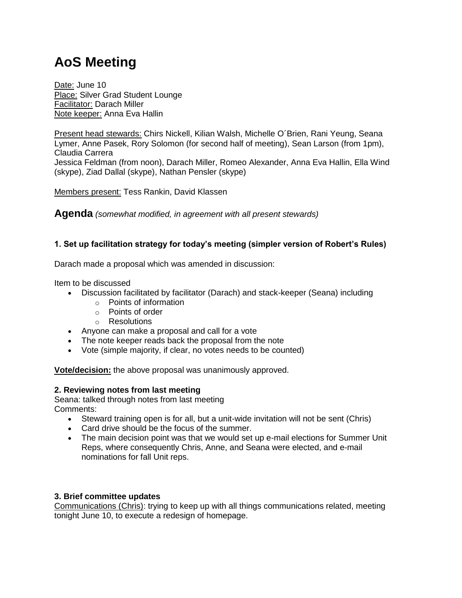# **AoS Meeting**

Date: June 10 Place: Silver Grad Student Lounge Facilitator: Darach Miller Note keeper: Anna Eva Hallin

Present head stewards: Chirs Nickell, Kilian Walsh, Michelle O´Brien, Rani Yeung, Seana Lymer, Anne Pasek, Rory Solomon (for second half of meeting), Sean Larson (from 1pm), Claudia Carrera Jessica Feldman (from noon), Darach Miller, Romeo Alexander, Anna Eva Hallin, Ella Wind

(skype), Ziad Dallal (skype), Nathan Pensler (skype)

Members present: Tess Rankin, David Klassen

**Agenda** *(somewhat modified, in agreement with all present stewards)*

# **1. Set up facilitation strategy for today's meeting (simpler version of Robert's Rules)**

Darach made a proposal which was amended in discussion:

Item to be discussed

- Discussion facilitated by facilitator (Darach) and stack-keeper (Seana) including
	- o Points of information
	- o Points of order
	- o Resolutions
- Anyone can make a proposal and call for a vote
- The note keeper reads back the proposal from the note
- Vote (simple majority, if clear, no votes needs to be counted)

**Vote/decision:** the above proposal was unanimously approved.

## **2. Reviewing notes from last meeting**

Seana: talked through notes from last meeting Comments:

- Steward training open is for all, but a unit-wide invitation will not be sent (Chris)
- Card drive should be the focus of the summer.
- The main decision point was that we would set up e-mail elections for Summer Unit Reps, where consequently Chris, Anne, and Seana were elected, and e-mail nominations for fall Unit reps.

## **3. Brief committee updates**

Communications (Chris): trying to keep up with all things communications related, meeting tonight June 10, to execute a redesign of homepage.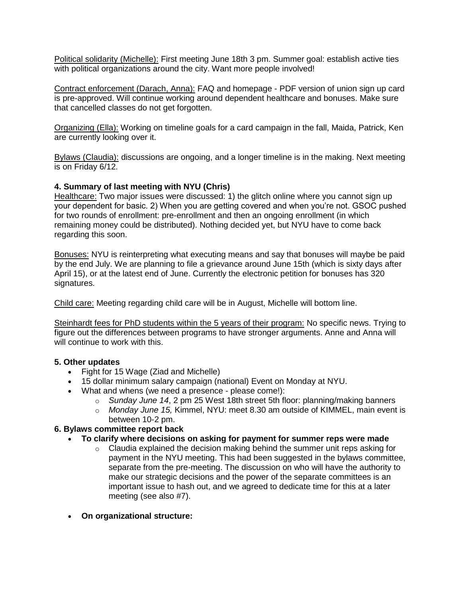Political solidarity (Michelle): First meeting June 18th 3 pm. Summer goal: establish active ties with political organizations around the city. Want more people involved!

Contract enforcement (Darach, Anna): FAQ and homepage - PDF version of union sign up card is pre-approved. Will continue working around dependent healthcare and bonuses. Make sure that cancelled classes do not get forgotten.

Organizing (Ella): Working on timeline goals for a card campaign in the fall, Maida, Patrick, Ken are currently looking over it.

Bylaws (Claudia): discussions are ongoing, and a longer timeline is in the making. Next meeting is on Friday 6/12.

## **4. Summary of last meeting with NYU (Chris)**

Healthcare: Two major issues were discussed: 1) the glitch online where you cannot sign up your dependent for basic. 2) When you are getting covered and when you're not. GSOC pushed for two rounds of enrollment: pre-enrollment and then an ongoing enrollment (in which remaining money could be distributed). Nothing decided yet, but NYU have to come back regarding this soon.

Bonuses: NYU is reinterpreting what executing means and say that bonuses will maybe be paid by the end July. We are planning to file a grievance around June 15th (which is sixty days after April 15), or at the latest end of June. Currently the electronic petition for bonuses has 320 signatures.

Child care: Meeting regarding child care will be in August, Michelle will bottom line.

Steinhardt fees for PhD students within the 5 years of their program: No specific news. Trying to figure out the differences between programs to have stronger arguments. Anne and Anna will will continue to work with this.

#### **5. Other updates**

- Fight for 15 Wage (Ziad and Michelle)
- 15 dollar minimum salary campaign (national) Event on Monday at NYU.
- What and whens (we need a presence please come!):
	- o *Sunday June 14*, 2 pm 25 West 18th street 5th floor: planning/making banners
	- o *Monday June 15,* Kimmel, NYU: meet 8.30 am outside of KIMMEL, main event is between 10-2 pm.

## **6. Bylaws committee report back**

- **To clarify where decisions on asking for payment for summer reps were made**
	- $\circ$  Claudia explained the decision making behind the summer unit reps asking for payment in the NYU meeting. This had been suggested in the bylaws committee, separate from the pre-meeting. The discussion on who will have the authority to make our strategic decisions and the power of the separate committees is an important issue to hash out, and we agreed to dedicate time for this at a later meeting (see also #7).
- **On organizational structure:**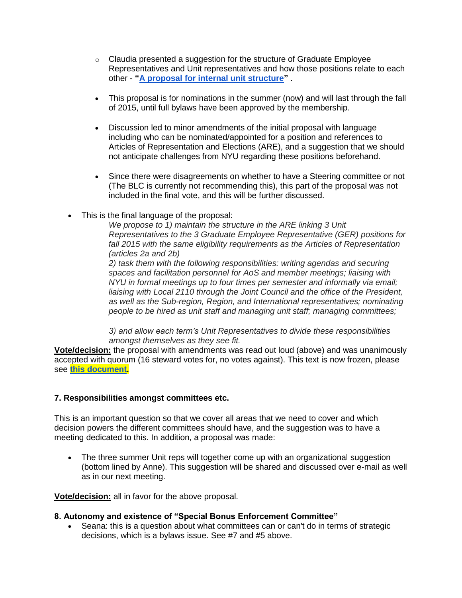- $\circ$  Claudia presented a suggestion for the structure of Graduate Employee Representatives and Unit representatives and how those positions relate to each other - **["A proposal for internal unit structure"](https://docs.google.com/document/d/1qPpCQ_OzIcj9nFqx0mIciYsAfvwYnSD6Ikpaxwit7_o/edit?usp=sharing)** .
- This proposal is for nominations in the summer (now) and will last through the fall of 2015, until full bylaws have been approved by the membership.
- Discussion led to minor amendments of the initial proposal with language including who can be nominated/appointed for a position and references to Articles of Representation and Elections (ARE), and a suggestion that we should not anticipate challenges from NYU regarding these positions beforehand.
- Since there were disagreements on whether to have a Steering committee or not (The BLC is currently not recommending this), this part of the proposal was not included in the final vote, and this will be further discussed.
- This is the final language of the proposal:

*We propose to 1) maintain the structure in the ARE linking 3 Unit Representatives to the 3 Graduate Employee Representative (GER) positions for*  fall 2015 with the same eligibility requirements as the Articles of Representation *(articles 2a and 2b)*

*2) task them with the following responsibilities: writing agendas and securing spaces and facilitation personnel for AoS and member meetings; liaising with NYU in formal meetings up to four times per semester and informally via email; liaising with Local 2110 through the Joint Council and the office of the President, as well as the Sub-region, Region, and International representatives; nominating people to be hired as unit staff and managing unit staff; managing committees;*

*3) and allow each term's Unit Representatives to divide these responsibilities amongst themselves as they see fit.*

**Vote/decision:** the proposal with amendments was read out loud (above) and was unanimously accepted with quorum (16 steward votes for, no votes against). This text is now frozen, please see **[this document.](https://docs.google.com/document/d/1qPpCQ_OzIcj9nFqx0mIciYsAfvwYnSD6Ikpaxwit7_o/edit?usp=sharing)**

#### **7. Responsibilities amongst committees etc.**

This is an important question so that we cover all areas that we need to cover and which decision powers the different committees should have, and the suggestion was to have a meeting dedicated to this. In addition, a proposal was made:

 The three summer Unit reps will together come up with an organizational suggestion (bottom lined by Anne). This suggestion will be shared and discussed over e-mail as well as in our next meeting.

**Vote/decision:** all in favor for the above proposal.

#### **8. Autonomy and existence of "Special Bonus Enforcement Committee"**

 Seana: this is a question about what committees can or can't do in terms of strategic decisions, which is a bylaws issue. See #7 and #5 above.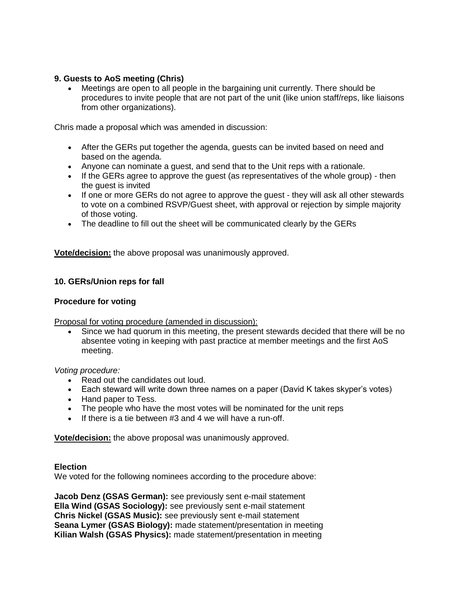## **9. Guests to AoS meeting (Chris)**

 Meetings are open to all people in the bargaining unit currently. There should be procedures to invite people that are not part of the unit (like union staff/reps, like liaisons from other organizations).

Chris made a proposal which was amended in discussion:

- After the GERs put together the agenda, guests can be invited based on need and based on the agenda.
- Anyone can nominate a guest, and send that to the Unit reps with a rationale.
- If the GERs agree to approve the guest (as representatives of the whole group) then the guest is invited
- If one or more GERs do not agree to approve the guest they will ask all other stewards to vote on a combined RSVP/Guest sheet, with approval or rejection by simple majority of those voting.
- The deadline to fill out the sheet will be communicated clearly by the GERs

**Vote/decision:** the above proposal was unanimously approved.

## **10. GERs/Union reps for fall**

## **Procedure for voting**

Proposal for voting procedure (amended in discussion):

 Since we had quorum in this meeting, the present stewards decided that there will be no absentee voting in keeping with past practice at member meetings and the first AoS meeting.

*Voting procedure:*

- Read out the candidates out loud.
- Each steward will write down three names on a paper (David K takes skyper's votes)
- Hand paper to Tess.
- The people who have the most votes will be nominated for the unit reps
- $\bullet$  If there is a tie between #3 and 4 we will have a run-off.

**Vote/decision:** the above proposal was unanimously approved.

## **Election**

We voted for the following nominees according to the procedure above:

**Jacob Denz (GSAS German):** see previously sent e-mail statement **Ella Wind (GSAS Sociology):** see previously sent e-mail statement **Chris Nickel (GSAS Music):** see previously sent e-mail statement **Seana Lymer (GSAS Biology):** made statement/presentation in meeting **Kilian Walsh (GSAS Physics):** made statement/presentation in meeting